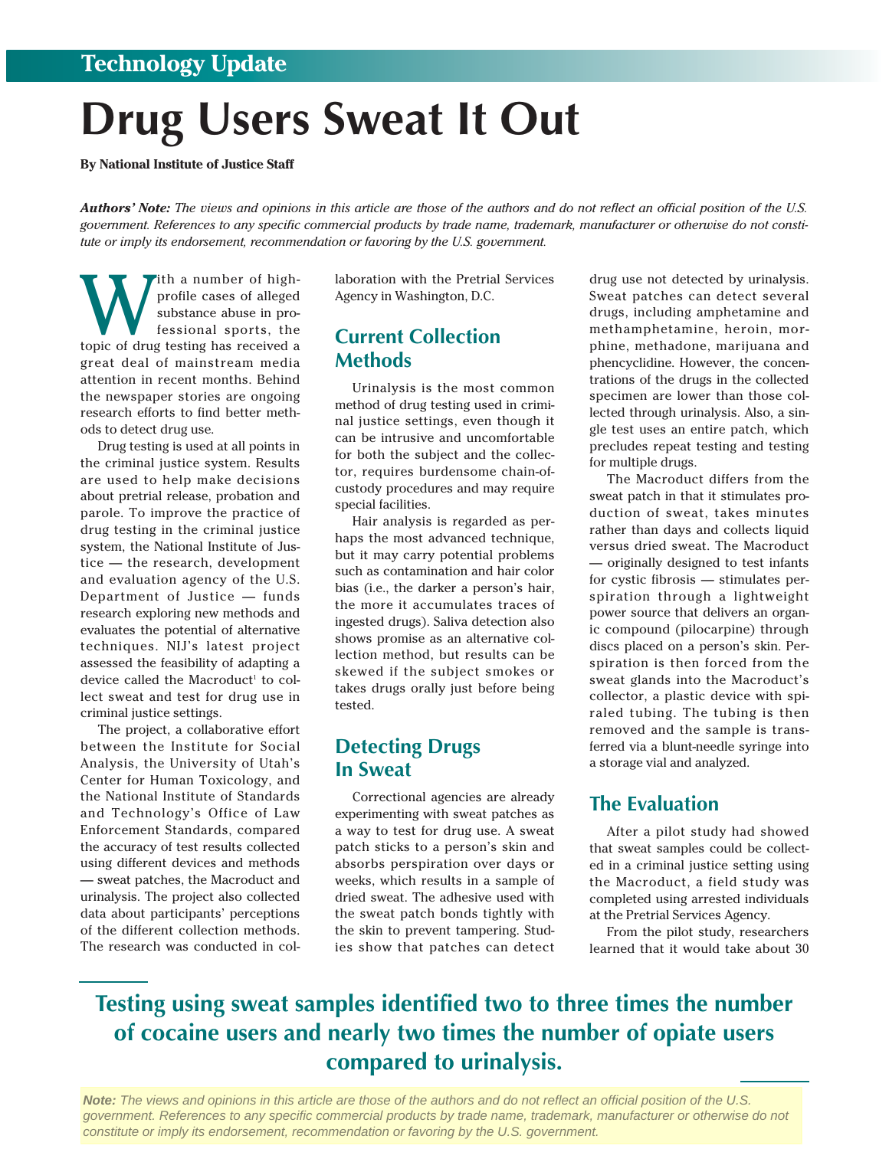### **Technology Update**

# **Drug Users Sweat It Out**

**By National Institute of Justice Staff** 

*Authors' Note: The views and opinions in this article are those of the authors and do not reflect an official position of the U.S. government. References to any specific commercial products by trade name, trademark, manufacturer or otherwise do not constitute or imply its endorsement, recommendation or favoring by the U.S. government.* 

With a number of high-<br>profile cases of alleged<br>substance abuse in pro-<br>fessional sports, the<br>topic of drug testing has received a profile cases of alleged substance abuse in professional sports, the great deal of mainstream media attention in recent months. Behind the newspaper stories are ongoing research efforts to find better methods to detect drug use.

Drug testing is used at all points in the criminal justice system. Results are used to help make decisions about pretrial release, probation and parole. To improve the practice of drug testing in the criminal justice system, the National Institute of Justice — the research, development and evaluation agency of the U.S. Department of Justice — funds research exploring new methods and evaluates the potential of alternative techniques. NIJ's latest project assessed the feasibility of adapting a device called the Macroduct<sup>1</sup> to collect sweat and test for drug use in criminal justice settings.

The project, a collaborative effort between the Institute for Social Analysis, the University of Utah's Center for Human Toxicology, and the National Institute of Standards and Technology's Office of Law Enforcement Standards, compared the accuracy of test results collected using different devices and methods — sweat patches, the Macroduct and urinalysis. The project also collected data about participants' perceptions of the different collection methods. The research was conducted in collaboration with the Pretrial Services Agency in Washington, D.C.

#### **Current Collection Methods**

Urinalysis is the most common method of drug testing used in criminal justice settings, even though it can be intrusive and uncomfortable for both the subject and the collector, requires burdensome chain-ofcustody procedures and may require special facilities.

Hair analysis is regarded as perhaps the most advanced technique, but it may carry potential problems such as contamination and hair color bias (i.e., the darker a person's hair, the more it accumulates traces of ingested drugs). Saliva detection also shows promise as an alternative collection method, but results can be skewed if the subject smokes or takes drugs orally just before being tested.

#### **Detecting Drugs In Sweat**

Correctional agencies are already experimenting with sweat patches as a way to test for drug use. A sweat patch sticks to a person's skin and absorbs perspiration over days or weeks, which results in a sample of dried sweat. The adhesive used with the sweat patch bonds tightly with the skin to prevent tampering. Studies show that patches can detect drug use not detected by urinalysis. Sweat patches can detect several drugs, including amphetamine and methamphetamine, heroin, morphine, methadone, marijuana and phencyclidine. However, the concentrations of the drugs in the collected specimen are lower than those collected through urinalysis. Also, a single test uses an entire patch, which precludes repeat testing and testing for multiple drugs.

The Macroduct differs from the sweat patch in that it stimulates production of sweat, takes minutes rather than days and collects liquid versus dried sweat. The Macroduct — originally designed to test infants for cystic fibrosis — stimulates perspiration through a lightweight power source that delivers an organic compound (pilocarpine) through discs placed on a person's skin. Perspiration is then forced from the sweat glands into the Macroduct's collector, a plastic device with spiraled tubing. The tubing is then removed and the sample is transferred via a blunt-needle syringe into a storage vial and analyzed.

#### **The Evaluation**

After a pilot study had showed that sweat samples could be collected in a criminal justice setting using the Macroduct, a field study was completed using arrested individuals at the Pretrial Services Agency.

From the pilot study, researchers learned that it would take about 30

## **Testing using sweat samples identified two to three times the number of cocaine users and nearly two times the number of opiate users compared to urinalysis.**

**Note:** The views and opinions in this article are those of the authors and do not reflect an official position of the U.S. government. References to any specific commercial products by trade name, trademark, manufacturer or otherwise do not constitute or imply its endorsement, recommendation or favoring by the U.S. government.